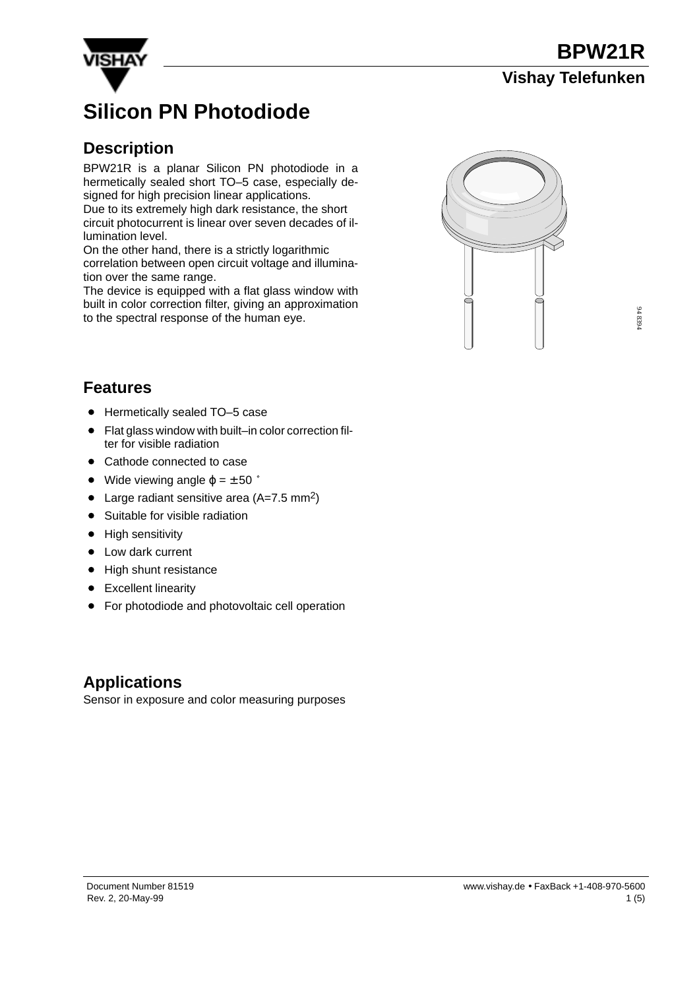



# **Silicon PN Photodiode**

#### **Description**

BPW21R is a planar Silicon PN photodiode in a hermetically sealed short TO–5 case, especially designed for high precision linear applications. Due to its extremely high dark resistance, the short circuit photocurrent is linear over seven decades of illumination level.

On the other hand, there is a strictly logarithmic correlation between open circuit voltage and illumination over the same range.

The device is equipped with a flat glass window with built in color correction filter, giving an approximation to the spectral response of the human eye.



#### **Features**

- Hermetically sealed TO-5 case
- Flat glass window with built–in color correction filter for visible radiation
- Cathode connected to case
- Cathode connected to case<br>• Wide viewing angle  $φ = ± 50°$
- Large radiant sensitive area  $(A=7.5 \text{ mm}^2)$
- Suitable for visible radiation
- $\bullet$ High sensitivity
- Low dark current
- High shunt resistance
- Excellent linearity
- **•** For photodiode and photovoltaic cell operation

#### **Applications**

Sensor in exposure and color measuring purposes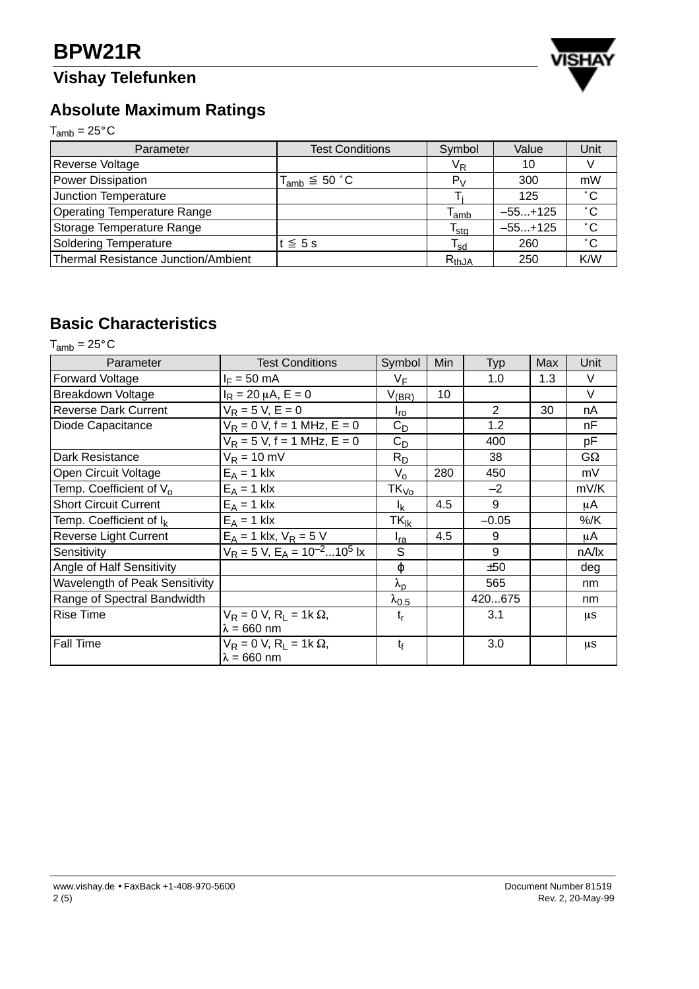## **Vishay Telefunken**



### **Absolute Maximum Ratings**

 $T_{amb} = 25^{\circ}C$ 

| Parameter                                  | <b>Test Conditions</b> | Symbol                      | Value     | Unit         |
|--------------------------------------------|------------------------|-----------------------------|-----------|--------------|
| Reverse Voltage                            |                        | V <sub>R</sub>              | 10        |              |
| Power Dissipation                          | $T_{amb} \leq 50 °C$   | $P_V$                       | 300       | mW           |
| Junction Temperature                       |                        |                             | 125       | $^{\circ}$ C |
| <b>Operating Temperature Range</b>         |                        | $\mathsf{T}_{\mathsf{amb}}$ | $-55+125$ | $^{\circ}$ C |
| Storage Temperature Range                  |                        | $\mathsf{T}_{\mathsf{stg}}$ | $-55+125$ | $^{\circ}$ C |
| <b>Soldering Temperature</b>               | t ≤ 5 s                | $\mathsf{T}_{\mathsf{sd}}$  | 260       | $^{\circ}$ C |
| <b>Thermal Resistance Junction/Ambient</b> |                        | $R_{thJA}$                  | 250       | K/W          |

### **Basic Characteristics**

 $T_{amb} = 25^{\circ}C$ 

| Parameter                             | <b>Test Conditions</b>                                             | Symbol                 | Min | Typ     | Max | Unit      |
|---------------------------------------|--------------------------------------------------------------------|------------------------|-----|---------|-----|-----------|
| <b>Forward Voltage</b>                | $I_F = 50$ mA                                                      | $V_F$                  |     | 1.0     | 1.3 | V         |
| Breakdown Voltage                     | $I_R = 20 \mu A, E = 0$                                            | $V_{(\underline{BR})}$ | 10  |         |     | $\vee$    |
| <b>Reverse Dark Current</b>           | $V_R = 5 V, E = 0$                                                 | $I_{\text{TO}}$        |     | 2       | 30  | nA        |
| Diode Capacitance                     | $V_R = 0 V$ , f = 1 MHz, E = 0                                     | $C_D$                  |     | 1.2     |     | nF        |
|                                       | $V_R = 5 V$ , f = 1 MHz, E = 0                                     | $C_D$                  |     | 400     |     | pF        |
| Dark Resistance                       | $V_R = 10$ mV                                                      | $R_D$                  |     | 38      |     | $G\Omega$ |
| Open Circuit Voltage                  | $E_A = 1$ klx                                                      | $V_{o}$                | 280 | 450     |     | mV        |
| Temp. Coefficient of V <sub>o</sub>   | $E_A = 1$ klx                                                      | $TK_{\mathsf{Vo}}$     |     | $-2$    |     | mV/K      |
| <b>Short Circuit Current</b>          | $E_A = 1$ klx                                                      | $I_{\rm K}$            | 4.5 | 9       |     | μA        |
| Temp. Coefficient of I <sub>k</sub>   | $E_A = 1$ klx                                                      | $TK_{ik}$              |     | $-0.05$ |     | %/K       |
| <b>Reverse Light Current</b>          | $E_A = 1$ klx, $V_R = 5$ V                                         | I <sub>ra</sub>        | 4.5 | 9       |     | μA        |
| Sensitivity                           | $V_R = 5 V$ , $E_A = 10^{-2}$ 10 <sup>5</sup> lx                   | S                      |     | 9       |     | nA/lx     |
| Angle of Half Sensitivity             |                                                                    | φ                      |     | ±50     |     | deg       |
| <b>Wavelength of Peak Sensitivity</b> |                                                                    | $\lambda_{\mathsf{p}}$ |     | 565     |     | nm        |
| Range of Spectral Bandwidth           |                                                                    | $\lambda_{0.5}$        |     | 420675  |     | nm        |
| <b>Rise Time</b>                      | $V_R = 0 V, R_1 = 1k \Omega,$                                      | $t_{\sf r}$            |     | 3.1     |     | μS        |
|                                       | $\lambda = 660$ nm                                                 |                        |     |         |     |           |
| <b>Fall Time</b>                      | $V_R = 0 V$ , R <sub>1</sub> = 1k $\Omega$ ,<br>$\lambda = 660$ nm | $t_{\rm f}$            |     | 3.0     |     | μS        |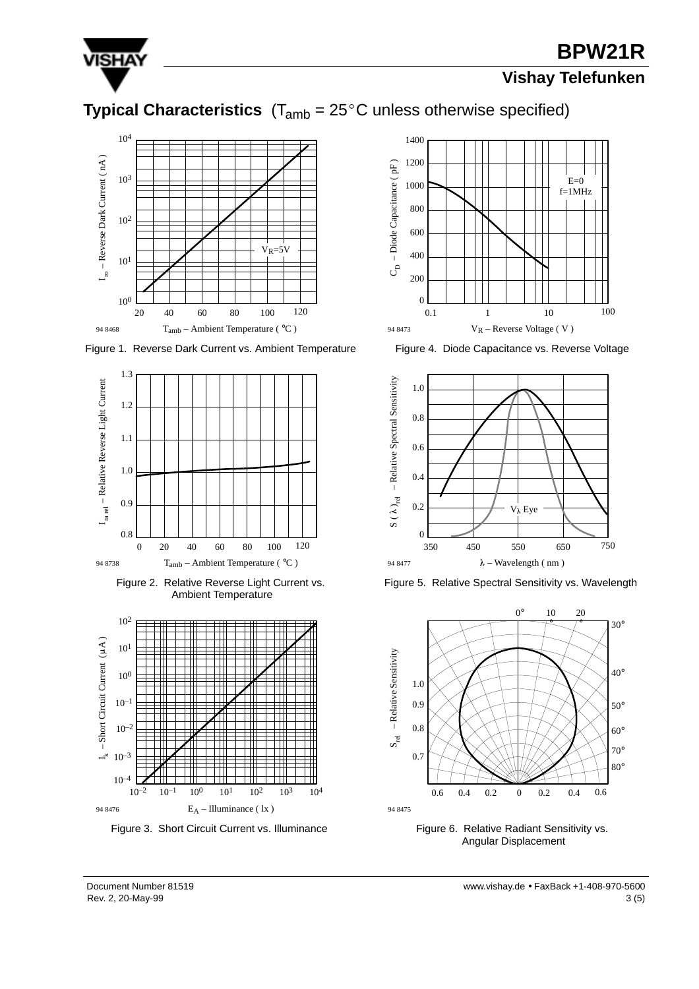

## **BPW21R**

#### **Vishay Telefunken**

## **Typical Characteristics**  $(T_{amb} = 25^{\circ}C$  unless otherwise specified)



Figure 1. Reverse Dark Current vs. Ambient Temperature



Figure 2. Relative Reverse Light Current vs. Ambient Temperature



Figure 3. Short Circuit Current vs. Illuminance



Figure 4. Diode Capacitance vs. Reverse Voltage







Figure 6. Relative Radiant Sensitivity vs. Angular Displacement

 $\mathsf{Rev. 2, 20-May-99}$  3 (5) Document Number 81519 www.vishay.de • FaxBack +1-408-970-5600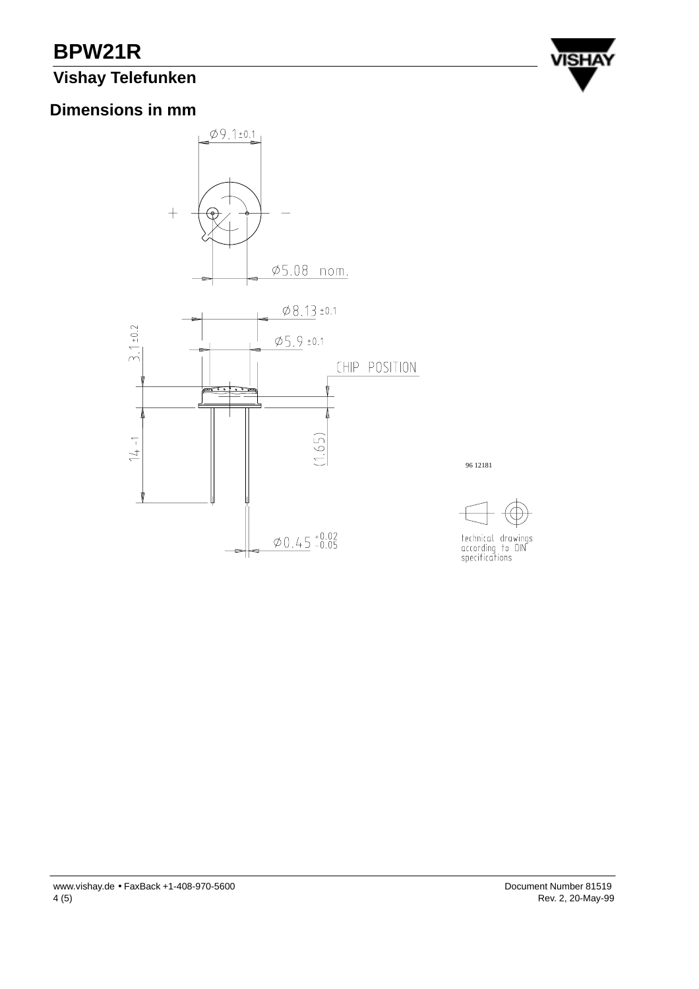# **BPW21R**

### **Vishay Telefunken**



#### **Dimensions in mm**



96 12181



technical drawings<br>according to DIN<br>specifications